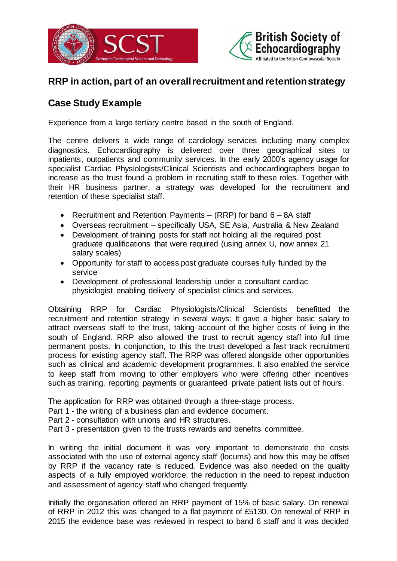



## **RRP in action, part of an overall recruitment and retention strategy**

## **Case Study Example**

Experience from a large tertiary centre based in the south of England.

The centre delivers a wide range of cardiology services including many complex diagnostics. Echocardiography is delivered over three geographical sites to inpatients, outpatients and community services. In the early 2000's agency usage for specialist Cardiac Physiologists/Clinical Scientists and echocardiographers began to increase as the trust found a problem in recruiting staff to these roles. Together with their HR business partner, a strategy was developed for the recruitment and retention of these specialist staff.

- Recruitment and Retention Payments  $(RRP)$  for band  $6 8A$  staff
- Overseas recruitment specifically USA, SE Asia, Australia & New Zealand
- Development of training posts for staff not holding all the required post graduate qualifications that were required (using annex U, now annex 21 salary scales)
- Opportunity for staff to access post graduate courses fully funded by the service
- Development of professional leadership under a consultant cardiac physiologist enabling delivery of specialist clinics and services.

Obtaining RRP for Cardiac Physiologists/Clinical Scientists benefitted the recruitment and retention strategy in several ways; It gave a higher basic salary to attract overseas staff to the trust, taking account of the higher costs of living in the south of England. RRP also allowed the trust to recruit agency staff into full time permanent posts. In conjunction, to this the trust developed a fast track recruitment process for existing agency staff. The RRP was offered alongside other opportunities such as clinical and academic development programmes. It also enabled the service to keep staff from moving to other employers who were offering other incentives such as training, reporting payments or guaranteed private patient lists out of hours.

The application for RRP was obtained through a three-stage process.

Part 1 - the writing of a business plan and evidence document.

- Part 2 consultation with unions and HR structures.
- Part 3 presentation given to the trusts rewards and benefits committee.

In writing the initial document it was very important to demonstrate the costs associated with the use of external agency staff (locums) and how this may be offset by RRP if the vacancy rate is reduced. Evidence was also needed on the quality aspects of a fully employed workforce, the reduction in the need to repeat induction and assessment of agency staff who changed frequently.

Initially the organisation offered an RRP payment of 15% of basic salary. On renewal of RRP in 2012 this was changed to a flat payment of £5130. On renewal of RRP in 2015 the evidence base was reviewed in respect to band 6 staff and it was decided